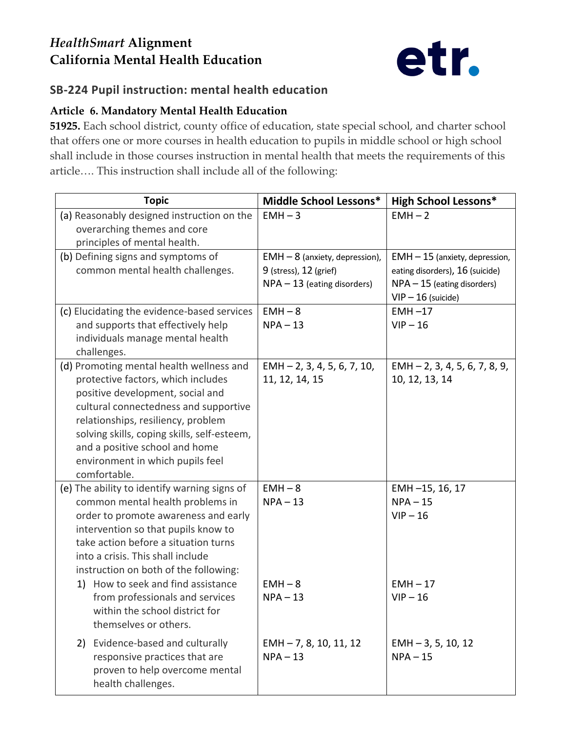## *HealthSmart* **Alignment California Mental Health Education**



## **SB-224 Pupil instruction: mental health education**

## **Article 6. Mandatory Mental Health Education**

**51925.** Each school district, county office of education, state special school, and charter school that offers one or more courses in health education to pupils in middle school or high school shall include in those courses instruction in mental health that meets the requirements of this article…. This instruction shall include all of the following:

| <b>Topic</b>                                            | Middle School Lessons*           | <b>High School Lessons*</b>                       |
|---------------------------------------------------------|----------------------------------|---------------------------------------------------|
| (a) Reasonably designed instruction on the              | $EMH - 3$                        | $EMH - 2$                                         |
| overarching themes and core                             |                                  |                                                   |
| principles of mental health.                            |                                  |                                                   |
| (b) Defining signs and symptoms of                      | $EMH - 8$ (anxiety, depression), | $EMH - 15$ (anxiety, depression,                  |
| common mental health challenges.                        | 9 (stress), 12 (grief)           | eating disorders), 16 (suicide)                   |
|                                                         | $NPA - 13$ (eating disorders)    | $NPA - 15$ (eating disorders)                     |
|                                                         |                                  | $VIP - 16$ (suicide)                              |
| (c) Elucidating the evidence-based services             | $EMH - 8$                        | $EMH -17$                                         |
| and supports that effectively help                      | $NPA - 13$                       | $VIP - 16$                                        |
| individuals manage mental health                        |                                  |                                                   |
| challenges.<br>(d) Promoting mental health wellness and | $EMH - 2, 3, 4, 5, 6, 7, 10,$    |                                                   |
| protective factors, which includes                      | 11, 12, 14, 15                   | $EMH - 2, 3, 4, 5, 6, 7, 8, 9,$<br>10, 12, 13, 14 |
| positive development, social and                        |                                  |                                                   |
| cultural connectedness and supportive                   |                                  |                                                   |
| relationships, resiliency, problem                      |                                  |                                                   |
| solving skills, coping skills, self-esteem,             |                                  |                                                   |
| and a positive school and home                          |                                  |                                                   |
| environment in which pupils feel                        |                                  |                                                   |
| comfortable.                                            |                                  |                                                   |
| (e) The ability to identify warning signs of            | $EMH - 8$                        | EMH-15, 16, 17                                    |
| common mental health problems in                        | $NPA - 13$                       | $NPA - 15$                                        |
| order to promote awareness and early                    |                                  | $VIP - 16$                                        |
| intervention so that pupils know to                     |                                  |                                                   |
| take action before a situation turns                    |                                  |                                                   |
| into a crisis. This shall include                       |                                  |                                                   |
| instruction on both of the following:                   |                                  |                                                   |
| How to seek and find assistance<br>1)                   | $EMH - 8$                        | $EMH - 17$                                        |
| from professionals and services                         | $NPA - 13$                       | $VIP - 16$                                        |
| within the school district for                          |                                  |                                                   |
| themselves or others.                                   |                                  |                                                   |
| 2) Evidence-based and culturally                        | $EMH - 7, 8, 10, 11, 12$         | $EMH - 3, 5, 10, 12$                              |
| responsive practices that are                           | $NPA - 13$                       | $NPA - 15$                                        |
| proven to help overcome mental                          |                                  |                                                   |
| health challenges.                                      |                                  |                                                   |